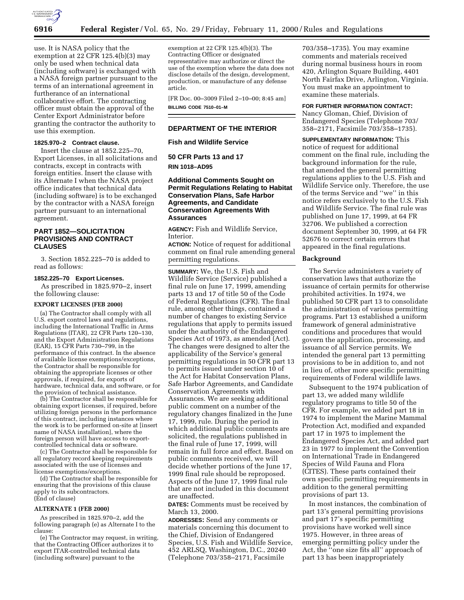

use. It is NASA policy that the exemption at 22 CFR 125.4(b)(3) may only be used when technical data (including software) is exchanged with a NASA foreign partner pursuant to the terms of an international agreement in furtherance of an international collaborative effort. The contracting officer must obtain the approval of the Center Export Administrator before granting the contractor the authority to use this exemption.

# **1825.970–2 Contract clause.**

Insert the clause at 1852.225–70, Export Licenses, in all solicitations and contracts, except in contracts with foreign entities. Insert the clause with its Alternate I when the NASA project office indicates that technical data (including software) is to be exchanged by the contractor with a NASA foreign partner pursuant to an international agreement.

# **PART 1852—SOLICITATION PROVISIONS AND CONTRACT CLAUSES**

3. Section 1852.225–70 is added to read as follows:

# **1852.225–70 Export Licenses.**

As prescribed in 1825.970–2, insert the following clause:

### **EXPORT LICENSES (FEB 2000)**

(a) The Contractor shall comply with all U.S. export control laws and regulations, including the International Traffic in Arms Regulations (ITAR), 22 CFR Parts 120–130, and the Export Administration Regulations (EAR), 15 CFR Parts 730–799, in the performance of this contract. In the absence of available license exemptions/exceptions, the Contractor shall be responsible for obtaining the appropriate licenses or other approvals, if required, for exports of hardware, technical data, and software, or for the provision of technical assistance.

(b) The Contractor shall be responsible for obtaining export licenses, if required, before utilizing foreign persons in the performance of this contract, including instances where the work is to be performed on-site at [insert name of NASA installation], where the foreign person will have access to exportcontrolled technical data or software.

(c) The Contractor shall be responsible for all regulatory record keeping requirements associated with the use of licenses and license exemptions/exceptions.

(d) The Contractor shall be responsible for ensuring that the provisions of this clause apply to its subcontractors. (End of clause)

### **ALTERNATE 1 (FEB 2000)**

As prescribed in 1825.970–2, add the following paragraph (e) as Alternate I to the clause:

(e) The Contractor may request, in writing, that the Contracting Officer authorizes it to export ITAR-controlled technical data (including software) pursuant to the

exemption at 22 CFR 125.4(b)(3). The Contracting Officer or designated representative may authorize or direct the use of the exemption where the data does not disclose details of the design, development, production, or manufacture of any defense article.

[FR Doc. 00–3009 Filed 2–10–00; 8:45 am] **BILLING CODE 7510–01–M**

# **DEPARTMENT OF THE INTERIOR**

**Fish and Wildlife Service**

**50 CFR Parts 13 and 17 RIN 1018–AD95**

# **Additional Comments Sought on Permit Regulations Relating to Habitat Conservation Plans, Safe Harbor Agreements, and Candidate Conservation Agreements With Assurances**

**AGENCY:** Fish and Wildlife Service, Interior.

**ACTION:** Notice of request for additional comment on final rule amending general permitting regulations.

**SUMMARY:** We, the U.S. Fish and Wildlife Service (Service) published a final rule on June 17, 1999, amending parts 13 and 17 of title 50 of the Code of Federal Regulations (CFR). The final rule, among other things, contained a number of changes to existing Service regulations that apply to permits issued under the authority of the Endangered Species Act of 1973, as amended (Act). The changes were designed to alter the applicability of the Service's general permitting regulations in 50 CFR part 13 to permits issued under section 10 of the Act for Habitat Conservation Plans, Safe Harbor Agreements, and Candidate Conservation Agreements with Assurances. We are seeking additional public comment on a number of the regulatory changes finalized in the June 17, 1999, rule. During the period in which additional public comments are solicited, the regulations published in the final rule of June 17, 1999, will remain in full force and effect. Based on public comments received, we will decide whether portions of the June 17, 1999 final rule should be reproposed. Aspects of the June 17, 1999 final rule that are not included in this document are unaffected.

**DATES:** Comments must be received by March 13, 2000.

**ADDRESSES:** Send any comments or materials concerning this document to the Chief, Division of Endangered Species, U.S. Fish and Wildlife Service, 452 ARLSQ, Washington, D.C., 20240 (Telephone 703/358–2171, Facsimile

703/358–1735). You may examine comments and materials received during normal business hours in room 420, Arlington Square Building, 4401 North Fairfax Drive, Arlington, Virginia. You must make an appointment to examine these materials.

# **FOR FURTHER INFORMATION CONTACT:**

Nancy Gloman, Chief, Division of Endangered Species (Telephone 703/ 358–2171, Facsimile 703/358–1735).

**SUPPLEMENTARY INFORMATION:** This notice of request for additional comment on the final rule, including the background information for the rule, that amended the general permitting regulations applies to the U.S. Fish and Wildlife Service only. Therefore, the use of the terms Service and ''we'' in this notice refers exclusively to the U.S. Fish and Wildlife Service. The final rule was published on June 17, 1999, at 64 FR 32706. We published a correction document September 30, 1999, at 64 FR 52676 to correct certain errors that appeared in the final regulations.

### **Background**

The Service administers a variety of conservation laws that authorize the issuance of certain permits for otherwise prohibited activities. In 1974, we published 50 CFR part 13 to consolidate the administration of various permitting programs. Part 13 established a uniform framework of general administrative conditions and procedures that would govern the application, processing, and issuance of all Service permits. We intended the general part 13 permitting provisions to be in addition to, and not in lieu of, other more specific permitting requirements of Federal wildlife laws.

Subsequent to the 1974 publication of part 13, we added many wildlife regulatory programs to title 50 of the CFR. For example, we added part 18 in 1974 to implement the Marine Mammal Protection Act, modified and expanded part 17 in 1975 to implement the Endangered Species Act, and added part 23 in 1977 to implement the Convention on International Trade in Endangered Species of Wild Fauna and Flora (CITES). These parts contained their own specific permitting requirements in addition to the general permitting provisions of part 13.

In most instances, the combination of part 13's general permitting provisions and part 17's specific permitting provisions have worked well since 1975. However, in three areas of emerging permitting policy under the Act, the ''one size fits all'' approach of part 13 has been inappropriately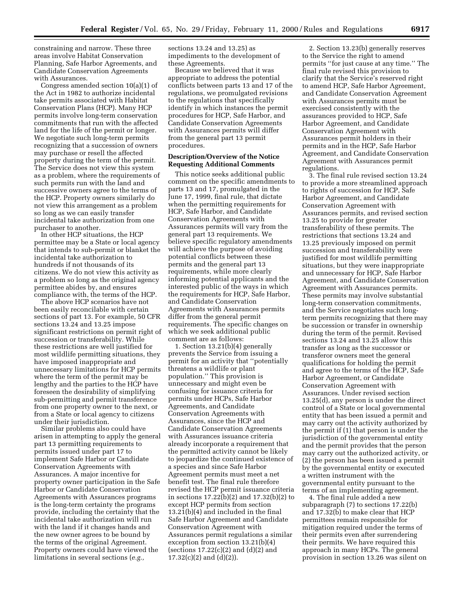constraining and narrow. These three areas involve Habitat Conservation Planning, Safe Harbor Agreements, and Candidate Conservation Agreements with Assurances.

Congress amended section 10(a)(1) of the Act in 1982 to authorize incidental take permits associated with Habitat Conservation Plans (HCP). Many HCP permits involve long-term conservation commitments that run with the affected land for the life of the permit or longer. We negotiate such long-term permits recognizing that a succession of owners may purchase or resell the affected property during the term of the permit. The Service does not view this system as a problem, where the requirements of such permits run with the land and successive owners agree to the terms of the HCP. Property owners similarly do not view this arrangement as a problem so long as we can easily transfer incidental take authorization from one purchaser to another.

In other HCP situations, the HCP permittee may be a State or local agency that intends to sub-permit or blanket the incidental take authorization to hundreds if not thousands of its citizens. We do not view this activity as a problem so long as the original agency permittee abides by, and ensures compliance with, the terms of the HCP.

The above HCP scenarios have not been easily reconcilable with certain sections of part 13. For example, 50 CFR sections 13.24 and 13.25 impose significant restrictions on permit right of succession or transferability. While these restrictions are well justified for most wildlife permitting situations, they have imposed inappropriate and unnecessary limitations for HCP permits where the term of the permit may be lengthy and the parties to the HCP have foreseen the desirability of simplifying sub-permitting and permit transference from one property owner to the next, or from a State or local agency to citizens under their jurisdiction.

Similar problems also could have arisen in attempting to apply the general part 13 permitting requirements to permits issued under part 17 to implement Safe Harbor or Candidate Conservation Agreements with Assurances. A major incentive for property owner participation in the Safe Harbor or Candidate Conservation Agreements with Assurances programs is the long-term certainty the programs provide, including the certainty that the incidental take authorization will run with the land if it changes hands and the new owner agrees to be bound by the terms of the original Agreement. Property owners could have viewed the limitations in several sections (*e.g.,*

sections 13.24 and 13.25) as impediments to the development of these Agreements.

Because we believed that it was appropriate to address the potential conflicts between parts 13 and 17 of the regulations, we promulgated revisions to the regulations that specifically identify in which instances the permit procedures for HCP, Safe Harbor, and Candidate Conservation Agreements with Assurances permits will differ from the general part 13 permit procedures.

## **Description/Overview of the Notice Requesting Additional Comments**

This notice seeks additional public comment on the specific amendments to parts 13 and 17, promulgated in the June 17, 1999, final rule, that dictate when the permitting requirements for HCP, Safe Harbor, and Candidate Conservation Agreements with Assurances permits will vary from the general part 13 requirements. We believe specific regulatory amendments will achieve the purpose of avoiding potential conflicts between these permits and the general part 13 requirements, while more clearly informing potential applicants and the interested public of the ways in which the requirements for HCP, Safe Harbor, and Candidate Conservation Agreements with Assurances permits differ from the general permit requirements. The specific changes on which we seek additional public comment are as follows:

1. Section 13.21(b)(4) generally prevents the Service from issuing a permit for an activity that ''potentially threatens a wildlife or plant population.'' This provision is unnecessary and might even be confusing for issuance criteria for permits under HCPs, Safe Harbor Agreements, and Candidate Conservation Agreements with Assurances, since the HCP and Candidate Conservation Agreements with Assurances issuance criteria already incorporate a requirement that the permitted activity cannot be likely to jeopardize the continued existence of a species and since Safe Harbor Agreement permits must meet a net benefit test. The final rule therefore revised the HCP permit issuance criteria in sections 17.22(b)(2) and 17.32(b)(2) to except HCP permits from section 13.21(b)(4) and included in the final Safe Harbor Agreement and Candidate Conservation Agreement with Assurances permit regulations a similar exception from section 13.21(b)(4) (sections  $17.22(c)(2)$  and  $(d)(2)$  and  $17.32(c)(2)$  and  $(d)(2)$ ).

2. Section 13.23(b) generally reserves to the Service the right to amend permits ''for just cause at any time.'' The final rule revised this provision to clarify that the Service's reserved right to amend HCP, Safe Harbor Agreement, and Candidate Conservation Agreement with Assurances permits must be exercised consistently with the assurances provided to HCP, Safe Harbor Agreement, and Candidate Conservation Agreement with Assurances permit holders in their permits and in the HCP, Safe Harbor Agreement, and Candidate Conservation Agreement with Assurances permit regulations.

3. The final rule revised section 13.24 to provide a more streamlined approach to rights of succession for HCP, Safe Harbor Agreement, and Candidate Conservation Agreement with Assurances permits, and revised section 13.25 to provide for greater transferability of these permits. The restrictions that sections 13.24 and 13.25 previously imposed on permit succession and transferability were justified for most wildlife permitting situations, but they were inappropriate and unnecessary for HCP, Safe Harbor Agreement, and Candidate Conservation Agreement with Assurances permits. These permits may involve substantial long-term conservation commitments, and the Service negotiates such longterm permits recognizing that there may be succession or transfer in ownership during the term of the permit. Revised sections 13.24 and 13.25 allow this transfer as long as the successor or transferor owners meet the general qualifications for holding the permit and agree to the terms of the HCP, Safe Harbor Agreement, or Candidate Conservation Agreement with Assurances. Under revised section 13.25(d), any person is under the direct control of a State or local governmental entity that has been issued a permit and may carry out the activity authorized by the permit if (1) that person is under the jurisdiction of the governmental entity and the permit provides that the person may carry out the authorized activity, or (2) the person has been issued a permit by the governmental entity or executed a written instrument with the governmental entity pursuant to the terms of an implementing agreement.

4. The final rule added a new subparagraph (7) to sections 17.22(b) and 17.32(b) to make clear that HCP permittees remain responsible for mitigation required under the terms of their permits even after surrendering their permits. We have required this approach in many HCPs. The general provision in section 13.26 was silent on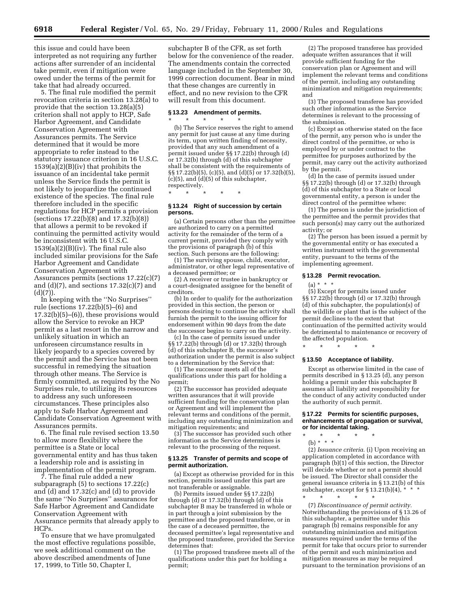this issue and could have been interpreted as not requiring any further actions after surrender of an incidental take permit, even if mitigation were owed under the terms of the permit for take that had already occurred.

5. The final rule modified the permit revocation criteria in section 13.28(a) to provide that the section 13.28(a)(5) criterion shall not apply to HCP, Safe Harbor Agreement, and Candidate Conservation Agreement with Assurances permits. The Service determined that it would be more appropriate to refer instead to the statutory issuance criterion in 16 U.S.C.  $1539(a)(2)(B)(iv)$  that prohibits the issuance of an incidental take permit unless the Service finds the permit is not likely to jeopardize the continued existence of the species. The final rule therefore included in the specific regulations for HCP permits a provision (sections 17.22(b)(8) and 17.32(b)(8)) that allows a permit to be revoked if continuing the permitted activity would be inconsistent with 16 U.S.C.  $1539(a)(2)(B)(iv)$ . The final rule also included similar provisions for the Safe Harbor Agreement and Candidate Conservation Agreement with Assurances permits (sections 17.22(c)(7) and  $(d)(7)$ , and sections  $17.32(c)(7)$  and  $(d)(7)$ ).

In keeping with the ''No Surprises'' rule (sections 17.22(b)(5)–(6) and 17.32(b)(5)–(6)), these provisions would allow the Service to revoke an HCP permit as a last resort in the narrow and unlikely situation in which an unforeseen circumstance results in likely jeopardy to a species covered by the permit and the Service has not been successful in remedying the situation through other means. The Service is firmly committed, as required by the No Surprises rule, to utilizing its resources to address any such unforeseen circumstances. These principles also apply to Safe Harbor Agreement and Candidate Conservation Agreement with Assurances permits.

6. The final rule revised section 13.50 to allow more flexibility where the permittee is a State or local governmental entity and has thus taken a leadership role and is assisting in implementation of the permit program.

7. The final rule added a new subparagraph (5) to sections 17.22(c) and (d) and 17.32(c) and (d) to provide the same ''No Surprises'' assurances for Safe Harbor Agreement and Candidate Conservation Agreement with Assurance permits that already apply to  $HCPs$ 

To ensure that we have promulgated the most effective regulations possible, we seek additional comment on the above described amendments of June 17, 1999, to Title 50, Chapter I,

subchapter B of the CFR, as set forth below for the convenience of the reader. The amendments contain the corrected language included in the September 30, 1999 correction document. Bear in mind that these changes are currently in effect, and no new revision to the CFR will result from this document.

# **§ 13.23 Amendment of permits.**

\* \* \* \* \* (b) The Service reserves the right to amend any permit for just cause at any time during its term, upon written finding of necessity, provided that any such amendment of a permit issued under §§ 17.22(b) through (d) or 17.32(b) through (d) of this subchapter shall be consistent with the requirements of §§ 17.22(b)(5), (c)(5), and (d)(5) or 17.32(b)(5), (c)(5), and (d)(5) of this subchapter, respectively.

\* \* \* \* \*

#### **§ 13.24 Right of succession by certain persons.**

(a) Certain persons other than the permittee are authorized to carry on a permitted activity for the remainder of the term of a current permit, provided they comply with the provisions of paragraph (b) of this section. Such persons are the following:

(1) The surviving spouse, child, executor, administrator, or other legal representative of a deceased permittee; or

(2) A receiver or trustee in bankruptcy or a court-designated assignee for the benefit of creditors.

(b) In order to qualify for the authorization provided in this section, the person or  $\bar{\rm p}$ ersons desiring to continue the activity shall furnish the permit to the issuing officer for endorsement within 90 days from the date the successor begins to carry on the activity.

(c) In the case of permits issued under §§ 17.22(b) through (d) or 17.32(b) through (d) of this subchapter B, the successor's authorization under the permit is also subject to a determination by the Service that:

(1) The successor meets all of the qualifications under this part for holding a permit;

(2) The successor has provided adequate written assurances that it will provide sufficient funding for the conservation plan or Agreement and will implement the relevant terms and conditions of the permit, including any outstanding minimization and mitigation requirements; and

(3) The successor has provided such other information as the Service determines is relevant to the processing of the request.

#### **§ 13.25 Transfer of permits and scope of permit authorization.**

(a) Except as otherwise provided for in this section, permits issued under this part are not transferable or assignable.

(b) Permits issued under §§ 17.22(b) through (d) or 17.32(b) through (d) of this subchapter B may be transferred in whole or in part through a joint submission by the permittee and the proposed transferee, or in the case of a deceased permittee, the deceased permittee's legal representative and the proposed transferee, provided the Service determines that:

(1) The proposed transferee meets all of the qualifications under this part for holding a permit;

(2) The proposed transferee has provided adequate written assurances that it will provide sufficient funding for the conservation plan or Agreement and will implement the relevant terms and conditions of the permit, including any outstanding minimization and mitigation requirements; and

(3) The proposed transferee has provided such other information as the Service determines is relevant to the processing of the submission.

(c) Except as otherwise stated on the face of the permit, any person who is under the direct control of the permittee, or who is employed by or under contract to the permittee for purposes authorized by the permit, may carry out the activity authorized by the permit.

(d) In the case of permits issued under §§ 17.22(b) through (d) or 17.32(b) through (d) of this subchapter to a State or local governmental entity, a person is under the direct control of the permittee where:

(1) The person is under the jurisdiction of the permittee and the permit provides that such person(s) may carry out the authorized activity; or

(2) The person has been issued a permit by the governmental entity or has executed a written instrument with the governmental entity, pursuant to the terms of the implementing agreement.

#### **§ 13.28 Permit revocation.**

 $(a) * * * *$ 

(5) Except for permits issued under §§ 17.22(b) through (d) or 17.32(b) through (d) of this subchapter, the population(s) of the wildlife or plant that is the subject of the permit declines to the extent that continuation of the permitted activity would be detrimental to maintenance or recovery of the affected population.

\* \* \* \* \*

## **§ 13.50 Acceptance of liability.**

Except as otherwise limited in the case of permits described in § 13.25 (d), any person holding a permit under this subchapter B assumes all liability and responsibility for the conduct of any activity conducted under the authority of such permit.

#### **§ 17.22 Permits for scientific purposes, enhancements of propagation or survival, or for incidental taking.**

- \* \* \* \* \*
	- (b) \* \* \*

(2) *Issuance criteria.* (i) Upon receiving an application completed in accordance with paragraph (b)(1) of this section, the Director will decide whether or not a permit should be issued. The Director shall consider the general issuance criteria in § 13.21(b) of this subchapter, except for  $\S 13.21(b)(4)$ , \* \* \* \* \* \* \* \*

(7) *Discontinuance of permit activity.* Notwithstanding the provisions of § 13.26 of this subchapter, a permittee under this paragraph (b) remains responsible for any outstanding minimization and mitigation measures required under the terms of the permit for take that occurs prior to surrender of the permit and such minimization and mitigation measures as may be required pursuant to the termination provisions of an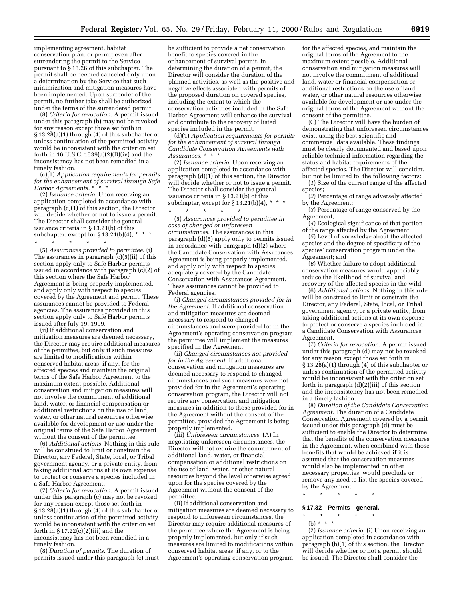implementing agreement, habitat conservation plan, or permit even after surrendering the permit to the Service pursuant to § 13.26 of this subchapter. The permit shall be deemed canceled only upon a determination by the Service that such minimization and mitigation measures have been implemented. Upon surrender of the permit, no further take shall be authorized under the terms of the surrendered permit.

(8) *Criteria for revocation*. A permit issued under this paragraph (b) may not be revoked for any reason except those set forth in § 13.28(a)(1) through (4) of this subchapter or unless continuation of the permitted activity would be inconsistent with the criterion set forth in 16 U.S.C. 1539(a)(2)(B)(iv) and the inconsistency has not been remedied in a timely fashion.

(c)(1) *Application requirements for permits for the enhancement of survival through Safe* Harbor Agreements. \*

(2) *Issuance criteria*. Upon receiving an application completed in accordance with paragraph (c)(1) of this section, the Director will decide whether or not to issue a permit. The Director shall consider the general issuance criteria in § 13.21(b) of this subchapter, except for § 13.21(b)(4), \* \* \* \* \* \* \* \*

(5) *Assurances provided to permittee*. (i) The assurances in paragraph (c)(5)(ii) of this section apply only to Safe Harbor permits issued in accordance with paragraph (c)(2) of this section where the Safe Harbor Agreement is being properly implemented, and apply only with respect to species covered by the Agreement and permit. These assurances cannot be provided to Federal agencies. The assurances provided in this section apply only to Safe Harbor permits issued after July 19, 1999.

(ii) If additional conservation and mitigation measures are deemed necessary, the Director may require additional measures of the permittee, but only if such measures are limited to modifications within conserved habitat areas, if any, for the affected species and maintain the original terms of the Safe Harbor Agreement to the maximum extent possible. Additional conservation and mitigation measures will not involve the commitment of additional land, water, or financial compensation or additional restrictions on the use of land, water, or other natural resources otherwise available for development or use under the original terms of the Safe Harbor Agreement without the consent of the permittee.

(6) *Additional actions.* Nothing in this rule will be construed to limit or constrain the Director, any Federal, State, local, or Tribal government agency, or a private entity, from taking additional actions at its own expense to protect or conserve a species included in a Safe Harbor Agreement.

(7) *Criteria for revocation*. A permit issued under this paragraph (c) may not be revoked for any reason except those set forth in § 13.28(a)(1) through (4) of this subchapter or unless continuation of the permitted activity would be inconsistent with the criterion set forth in  $\S 17.22(c)(2)(iii)$  and the inconsistency has not been remedied in a timely fashion.

(8) *Duration of permits*. The duration of permits issued under this paragraph (c) must

be sufficient to provide a net conservation benefit to species covered in the enhancement of survival permit. In determining the duration of a permit, the Director will consider the duration of the planned activities, as well as the positive and negative effects associated with permits of the proposed duration on covered species, including the extent to which the conservation activities included in the Safe Harbor Agreement will enhance the survival and contribute to the recovery of listed species included in the permit.

(d)(1) *Application requirements for permits for the enhancement of survival through Candidate Conservation Agreements with Assurances.* \*\*\*

(2) *Issuance criteria*. Upon receiving an application completed in accordance with paragraph (d)(1) of this section, the Director will decide whether or not to issue a permit. The Director shall consider the general issuance criteria in § 13.21(b) of this subchapter, except for § 13.21(b)(4), \* \* \* \* \* \* \* \*

(5) *Assurances provided to permittee in case of changed or unforeseen circumstances*. The assurances in this paragraph (d)(5) apply only to permits issued in accordance with paragraph (d)(2) where the Candidate Conservation with Assurances Agreement is being properly implemented, and apply only with respect to species adequately covered by the Candidate Conservation with Assurances Agreement. These assurances cannot be provided to Federal agencies.

(i) *Changed circumstances provided for in the Agreement.* If additional conservation and mitigation measures are deemed necessary to respond to changed circumstances and were provided for in the Agreement's operating conservation program, the permittee will implement the measures specified in the Agreement.

(ii) *Changed circumstances not provided for in the Agreement.* If additional conservation and mitigation measures are deemed necessary to respond to changed circumstances and such measures were not provided for in the Agreement's operating conservation program, the Director will not require any conservation and mitigation measures in addition to those provided for in the Agreement without the consent of the permittee, provided the Agreement is being properly implemented.

(iii) *Unforeseen circumstances.* (A) In negotiating unforeseen circumstances, the Director will not require the commitment of additional land, water, or financial compensation or additional restrictions on the use of land, water, or other natural resources beyond the level otherwise agreed upon for the species covered by the Agreement without the consent of the permittee.

(B) If additional conservation and mitigation measures are deemed necessary to respond to unforeseen circumstances, the Director may require additional measures of the permittee where the Agreement is being properly implemented, but only if such measures are limited to modifications within conserved habitat areas, if any, or to the Agreement's operating conservation program

for the affected species, and maintain the original terms of the Agreement to the maximum extent possible. Additional conservation and mitigation measures will not involve the commitment of additional land, water or financial compensation or additional restrictions on the use of land, water, or other natural resources otherwise available for development or use under the original terms of the Agreement without the consent of the permittee.

(C) The Director will have the burden of demonstrating that unforeseen circumstances exist, using the best scientific and commercial data available. These findings must be clearly documented and based upon reliable technical information regarding the status and habitat requirements of the affected species. The Director will consider, but not be limited to, the following factors:

(*1*) Size of the current range of the affected species;

(*2*) Percentage of range adversely affected by the Agreement;

(*3*) Percentage of range conserved by the Agreement;

(*4*) Ecological significance of that portion of the range affected by the Agreement;

(*5*) Level of knowledge about the affected species and the degree of specificity of the species' conservation program under the Agreement; and

(*6*) Whether failure to adopt additional conservation measures would appreciably reduce the likelihood of survival and recovery of the affected species in the wild.

(6) *Additional actions*. Nothing in this rule will be construed to limit or constrain the Director, any Federal, State, local, or Tribal government agency, or a private entity, from taking additional actions at its own expense to protect or conserve a species included in a Candidate Conservation with Assurances Agreement.

(7) *Criteria for revocation*. A permit issued under this paragraph (d) may not be revoked for any reason except those set forth in § 13.28(a)(1) through (4) of this subchapter or unless continuation of the permitted activity would be inconsistent with the criterion set forth in paragraph (d)(2)(iii) of this section and the inconsistency has not been remedied in a timely fashion.

(8) *Duration of the Candidate Conservation Agreement*. The duration of a Candidate Conservation Agreement covered by a permit issued under this paragraph (d) must be sufficient to enable the Director to determine that the benefits of the conservation measures in the Agreement, when combined with those benefits that would be achieved if it is assumed that the conservation measures would also be implemented on other necessary properties, would preclude or remove any need to list the species covered by the Agreement.

\* \* \* \* \*

# **§ 17.32 Permits—general.**

- \* \* \* \* \*
- (b) \* \* \*

(2) *Issuance criteria.* (i) Upon receiving an application completed in accordance with paragraph (b)(1) of this section, the Director will decide whether or not a permit should be issued. The Director shall consider the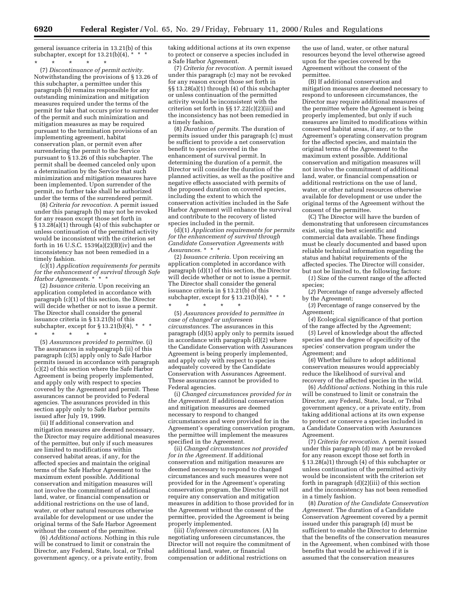general issuance criteria in 13.21(b) of this subchapter, except for  $13.21(b)(4)$ ,  $*$ \* \* \* \* \*

(7) *Discontinuance of permit activity.* Notwithstanding the provisions of § 13.26 of this subchapter, a permittee under this paragraph (b) remains responsible for any outstanding minimization and mitigation measures required under the terms of the permit for take that occurs prior to surrender of the permit and such minimization and mitigation measures as may be required pursuant to the termination provisions of an implementing agreement, habitat conservation plan, or permit even after surrendering the permit to the Service pursuant to § 13.26 of this subchapter. The permit shall be deemed canceled only upon a determination by the Service that such minimization and mitigation measures have been implemented. Upon surrender of the permit, no further take shall be authorized under the terms of the surrendered permit.

(8) *Criteria for revocation.* A permit issued under this paragraph (b) may not be revoked for any reason except those set forth in § 13.28(a)(1) through (4) of this subchapter or unless continuation of the permitted activity would be inconsistent with the criterion set forth in 16 U.S.C. 1539(a)(2)(B)(iv) and the inconsistency has not been remedied in a timely fashion.

(c)(1) *Application requirements for permits for the enhancement of survival through Safe Harbor Agreements.* \*\*\*

(2) *Issuance criteria.* Upon receiving an application completed in accordance with paragraph (c)(1) of this section, the Director will decide whether or not to issue a permit. The Director shall consider the general issuance criteria in § 13.21(b) of this subchapter, except for § 13.21(b)(4), \* \* \* \* \* \* \* \*

(5) *Assurances provided to permittee.* (i) The assurances in subparagraph (ii) of this paragraph (c)(5) apply only to Safe Harbor permits issued in accordance with paragraph (c)(2) of this section where the Safe Harbor Agreement is being properly implemented, and apply only with respect to species covered by the Agreement and permit. These assurances cannot be provided to Federal agencies. The assurances provided in this section apply only to Safe Harbor permits issued after July 19, 1999.

(ii) If additional conservation and mitigation measures are deemed necessary, the Director may require additional measures of the permittee, but only if such measures are limited to modifications within conserved habitat areas, if any, for the affected species and maintain the original terms of the Safe Harbor Agreement to the maximum extent possible. Additional conservation and mitigation measures will not involve the commitment of additional land, water, or financial compensation or additional restrictions on the use of land, water, or other natural resources otherwise available for development or use under the original terms of the Safe Harbor Agreement without the consent of the permittee.

(6) *Additional actions.* Nothing in this rule will be construed to limit or constrain the Director, any Federal, State, local, or Tribal government agency, or a private entity, from

taking additional actions at its own expense to protect or conserve a species included in a Safe Harbor Agreement.

(7) *Criteria for revocation.* A permit issued under this paragraph (c) may not be revoked for any reason except those set forth in §§ 13.28(a)(1) through (4) of this subchapter or unless continuation of the permitted activity would be inconsistent with the criterion set forth in §§ 17.22(c)(2)(iii) and the inconsistency has not been remedied in a timely fashion.

(8) *Duration of permits.* The duration of permits issued under this paragraph (c) must be sufficient to provide a net conservation benefit to species covered in the enhancement of survival permit. In determining the duration of a permit, the Director will consider the duration of the planned activities, as well as the positive and negative effects associated with permits of the proposed duration on covered species, including the extent to which the conservation activities included in the Safe Harbor Agreement will enhance the survival and contribute to the recovery of listed species included in the permit.

(d)(1) *Application requirements for permits for the enhancement of survival through Candidate Conservation Agreements with Assurances.* \*\*\*

(2) *Issuance criteria.* Upon receiving an application completed in accordance with paragraph (d)(1) of this section, the Director will decide whether or not to issue a permit. The Director shall consider the general issuance criteria in § 13.21(b) of this subchapter, except for  $§ 13.21(b)(4)$ , \* \* \* \* \* \* \* \*

(5) *Assurances provided to permittee in case of changed or unforeseen circumstances.* The assurances in this paragraph (d)(5) apply only to permits issued in accordance with paragraph (d)(2) where the Candidate Conservation with Assurances Agreement is being properly implemented, and apply only with respect to species adequately covered by the Candidate Conservation with Assurances Agreement. These assurances cannot be provided to Federal agencies.

(i) *Changed circumstances provided for in the Agreement.* If additional conservation and mitigation measures are deemed necessary to respond to changed circumstances and were provided for in the Agreement's operating conservation program, the permittee will implement the measures specified in the Agreement.

(ii) *Changed circumstances not provided for in the Agreement.* If additional conservation and mitigation measures are deemed necessary to respond to changed circumstances and such measures were not provided for in the Agreement's operating conservation program, the Director will not require any conservation and mitigation measures in addition to those provided for in the Agreement without the consent of the permittee, provided the Agreement is being properly implemented.

(iii) *Unforeseen circumstances.* (A) In negotiating unforeseen circumstances, the Director will not require the commitment of additional land, water, or financial compensation or additional restrictions on

the use of land, water, or other natural resources beyond the level otherwise agreed upon for the species covered by the Agreement without the consent of the permittee.

(B) If additional conservation and mitigation measures are deemed necessary to respond to unforeseen circumstances, the Director may require additional measures of the permittee where the Agreement is being properly implemented, but only if such measures are limited to modifications within conserved habitat areas, if any, or to the Agreement's operating conservation program for the affected species, and maintain the original terms of the Agreement to the maximum extent possible. Additional conservation and mitigation measures will not involve the commitment of additional land, water, or financial compensation or additional restrictions on the use of land, water, or other natural resources otherwise available for development or use under the original terms of the Agreement without the consent of the permittee.

(C) The Director will have the burden of demonstrating that unforeseen circumstances exist, using the best scientific and commercial data available. These findings must be clearly documented and based upon reliable technical information regarding the status and habitat requirements of the affected species. The Director will consider, but not be limited to, the following factors:

(*1*) Size of the current range of the affected species;

(*2*) Percentage of range adversely affected by the Agreement;

(*3*) Percentage of range conserved by the Agreement;

(*4*) Ecological significance of that portion of the range affected by the Agreement;

(*5*) Level of knowledge about the affected species and the degree of specificity of the species' conservation program under the Agreement; and

(*6*) Whether failure to adopt additional conservation measures would appreciably reduce the likelihood of survival and recovery of the affected species in the wild.

(6) *Additional actions.* Nothing in this rule will be construed to limit or constrain the Director, any Federal, State, local, or Tribal government agency, or a private entity, from taking additional actions at its own expense to protect or conserve a species included in a Candidate Conservation with Assurances Agreement.

(7) *Criteria for revocation.* A permit issued under this paragraph (d) may not be revoked for any reason except those set forth in § 13.28(a)1) through (4) of this subchapter or unless continuation of the permitted activity would be inconsistent with the criterion set forth in paragraph (d)(2)(iii) of this section and the inconsistency has not been remedied in a timely fashion.

(8) *Duration of the Candidate Conservation Agreement.* The duration of a Candidate Conservation Agreement covered by a permit issued under this paragraph (d) must be sufficient to enable the Director to determine that the benefits of the conservation measures in the Agreement, when combined with those benefits that would be achieved if it is assumed that the conservation measures